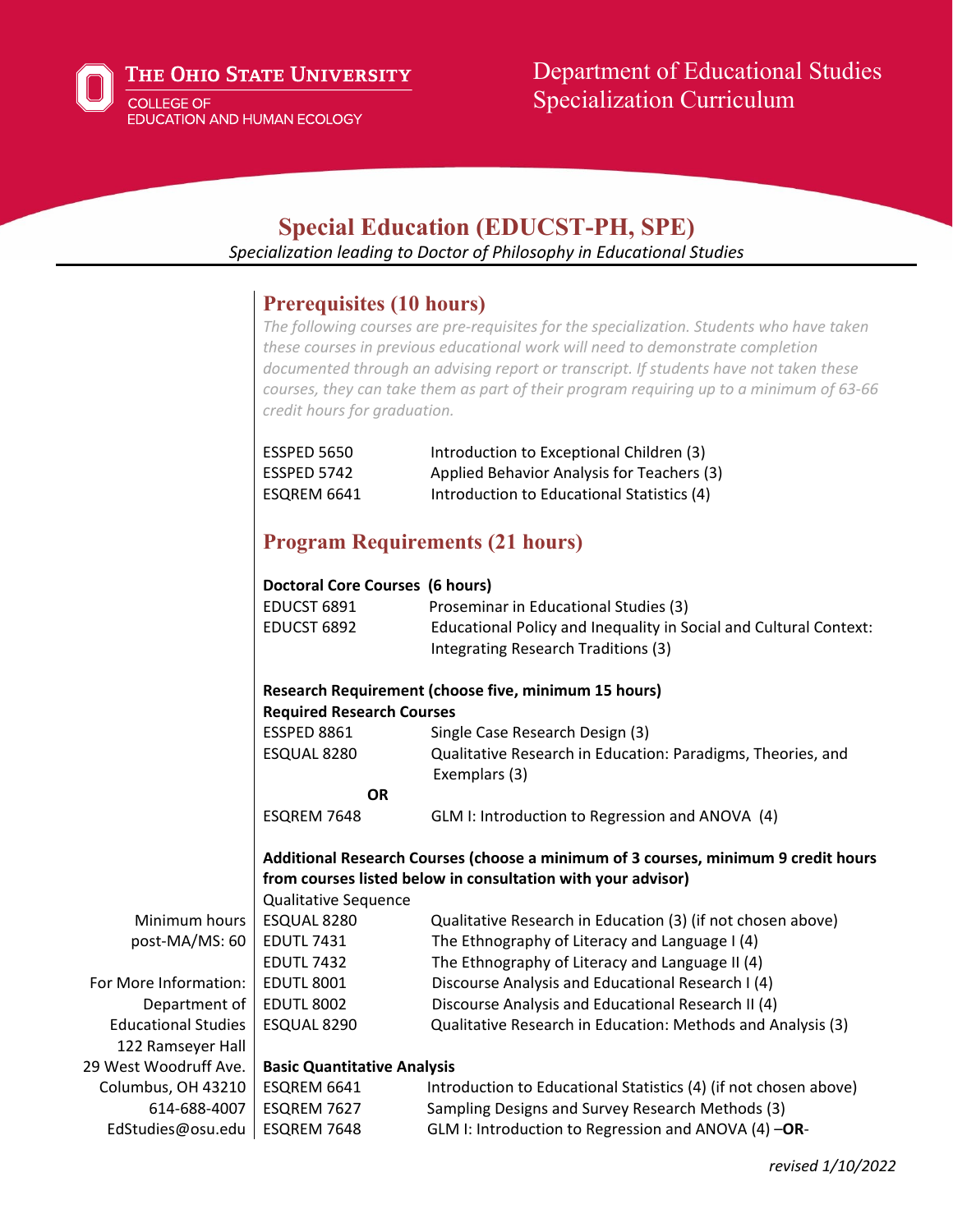

# Department of Educational Studies Specialization Curriculum

# **Special Education (EDUCST-PH, SPE)**

*Specialization leading to Doctor of Philosophy in Educational Studies*

## **Prerequisites (10 hours)**

*The following courses are pre-requisites for the specialization. Students who have taken these courses in previous educational work will need to demonstrate completion documented through an advising report or transcript. If students have not taken these courses, they can take them as part of their program requiring up to a minimum of 63-66 credit hours for graduation.*

| ESSPED 5650 | Introduction to Exceptional Children (3)   |
|-------------|--------------------------------------------|
| ESSPED 5742 | Applied Behavior Analysis for Teachers (3) |
| ESOREM 6641 | Introduction to Educational Statistics (4) |

## **Program Requirements (21 hours)**

|                            | Doctoral Core Courses (6 hours)    |                                                                                    |
|----------------------------|------------------------------------|------------------------------------------------------------------------------------|
|                            | EDUCST 6891                        | Proseminar in Educational Studies (3)                                              |
|                            | EDUCST 6892                        | Educational Policy and Inequality in Social and Cultural Context:                  |
|                            |                                    | Integrating Research Traditions (3)                                                |
|                            |                                    |                                                                                    |
|                            |                                    | Research Requirement (choose five, minimum 15 hours)                               |
|                            | <b>Required Research Courses</b>   |                                                                                    |
|                            | <b>ESSPED 8861</b>                 | Single Case Research Design (3)                                                    |
|                            | ESQUAL 8280                        | Qualitative Research in Education: Paradigms, Theories, and<br>Exemplars (3)       |
|                            | <b>OR</b>                          |                                                                                    |
|                            | ESQREM 7648                        | GLM I: Introduction to Regression and ANOVA (4)                                    |
|                            |                                    |                                                                                    |
|                            |                                    | Additional Research Courses (choose a minimum of 3 courses, minimum 9 credit hours |
|                            |                                    | from courses listed below in consultation with your advisor)                       |
|                            | <b>Qualitative Sequence</b>        |                                                                                    |
| Minimum hours              | ESQUAL 8280                        | Qualitative Research in Education (3) (if not chosen above)                        |
| post-MA/MS: 60             | <b>EDUTL 7431</b>                  | The Ethnography of Literacy and Language I (4)                                     |
|                            | <b>EDUTL 7432</b>                  | The Ethnography of Literacy and Language II (4)                                    |
| For More Information:      | <b>EDUTL 8001</b>                  | Discourse Analysis and Educational Research I (4)                                  |
| Department of              | <b>EDUTL 8002</b>                  | Discourse Analysis and Educational Research II (4)                                 |
| <b>Educational Studies</b> | ESQUAL 8290                        | Qualitative Research in Education: Methods and Analysis (3)                        |
| 122 Ramseyer Hall          |                                    |                                                                                    |
| 29 West Woodruff Ave.      | <b>Basic Quantitative Analysis</b> |                                                                                    |
| Columbus, OH 43210         | ESQREM 6641                        | Introduction to Educational Statistics (4) (if not chosen above)                   |
| 614-688-4007               | ESQREM 7627                        | Sampling Designs and Survey Research Methods (3)                                   |
| EdStudies@osu.edu          | ESQREM 7648                        | GLM I: Introduction to Regression and ANOVA (4) -OR-                               |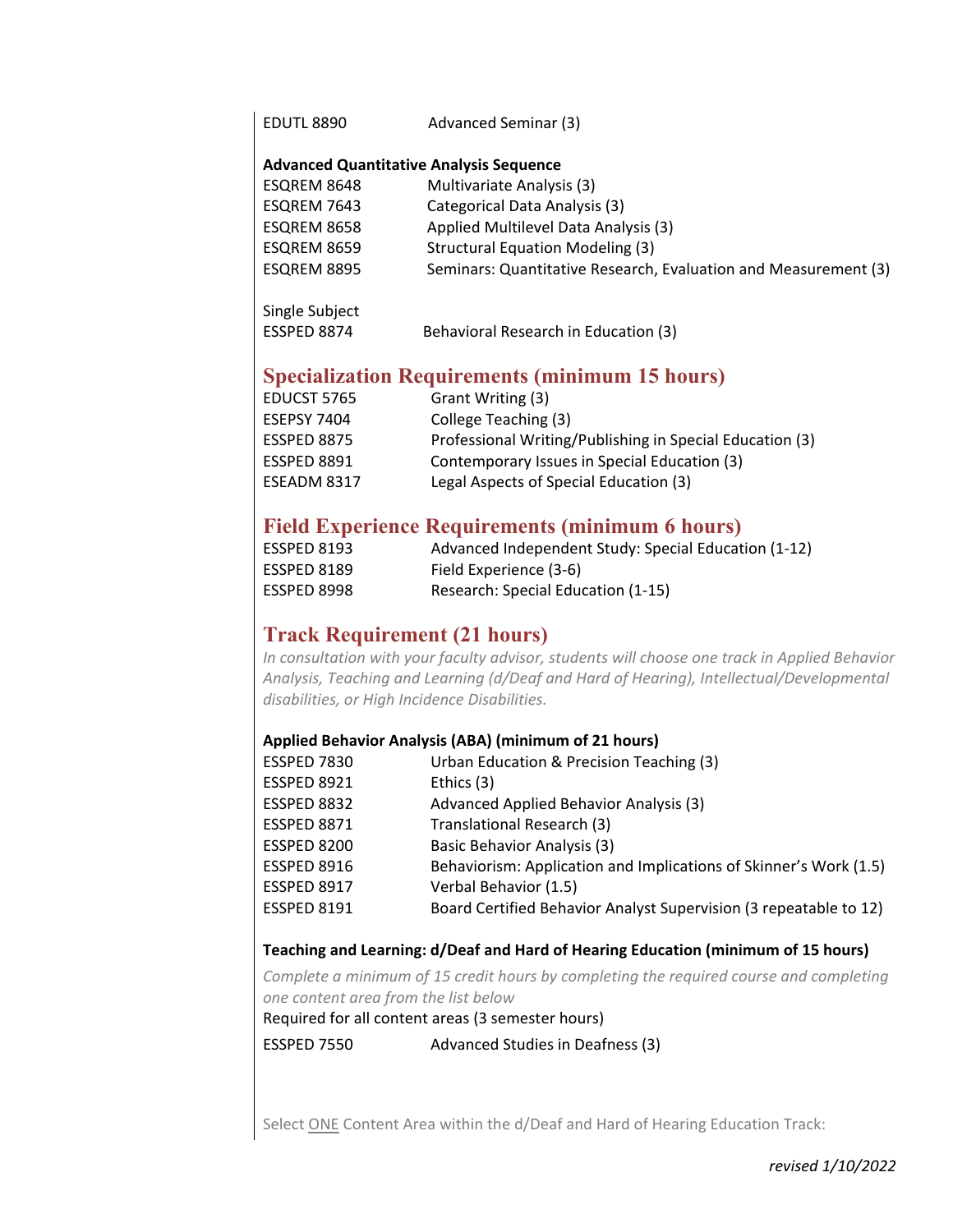| EDUTL 8890 | Advanced Seminar (3) |  |
|------------|----------------------|--|
|------------|----------------------|--|

#### **Advanced Quantitative Analysis Sequence**

| ESQREM 8648 | Multivariate Analysis (3)                                       |
|-------------|-----------------------------------------------------------------|
| ESQREM 7643 | Categorical Data Analysis (3)                                   |
| ESQREM 8658 | Applied Multilevel Data Analysis (3)                            |
| ESQREM 8659 | <b>Structural Equation Modeling (3)</b>                         |
| ESQREM 8895 | Seminars: Quantitative Research, Evaluation and Measurement (3) |
|             |                                                                 |

| Single Subject |                                      |
|----------------|--------------------------------------|
| ESSPED 8874    | Behavioral Research in Education (3) |

## **Specialization Requirements (minimum 15 hours)**

| EDUCST 5765        | Grant Writing (3)                                        |
|--------------------|----------------------------------------------------------|
| <b>ESEPSY 7404</b> | College Teaching (3)                                     |
| ESSPED 8875        | Professional Writing/Publishing in Special Education (3) |
| <b>ESSPED 8891</b> | Contemporary Issues in Special Education (3)             |
| ESEADM 8317        | Legal Aspects of Special Education (3)                   |

## **Field Experience Requirements (minimum 6 hours)**

| ESSPED 8193 | Advanced Independent Study: Special Education (1-12) |
|-------------|------------------------------------------------------|
| ESSPED 8189 | Field Experience (3-6)                               |
| ESSPED 8998 | Research: Special Education (1-15)                   |

## **Track Requirement (21 hours)**

*In consultation with your faculty advisor, students will choose one track in Applied Behavior Analysis, Teaching and Learning (d/Deaf and Hard of Hearing), Intellectual/Developmental disabilities, or High Incidence Disabilities.*

### **Applied Behavior Analysis (ABA) (minimum of 21 hours)**

| ESSPED 7830        | Urban Education & Precision Teaching (3)                          |
|--------------------|-------------------------------------------------------------------|
| <b>ESSPED 8921</b> | Ethics (3)                                                        |
| ESSPED 8832        | Advanced Applied Behavior Analysis (3)                            |
| <b>ESSPED 8871</b> | Translational Research (3)                                        |
| ESSPED 8200        | <b>Basic Behavior Analysis (3)</b>                                |
| <b>ESSPED 8916</b> | Behaviorism: Application and Implications of Skinner's Work (1.5) |
| ESSPED 8917        | Verbal Behavior (1.5)                                             |
| <b>ESSPED 8191</b> | Board Certified Behavior Analyst Supervision (3 repeatable to 12) |
|                    |                                                                   |

## **Teaching and Learning: d/Deaf and Hard of Hearing Education (minimum of 15 hours)**

*Complete a minimum of 15 credit hours by completing the required course and completing one content area from the list below*

Required for all content areas (3 semester hours)

ESSPED 7550 Advanced Studies in Deafness (3)

Select ONE Content Area within the d/Deaf and Hard of Hearing Education Track: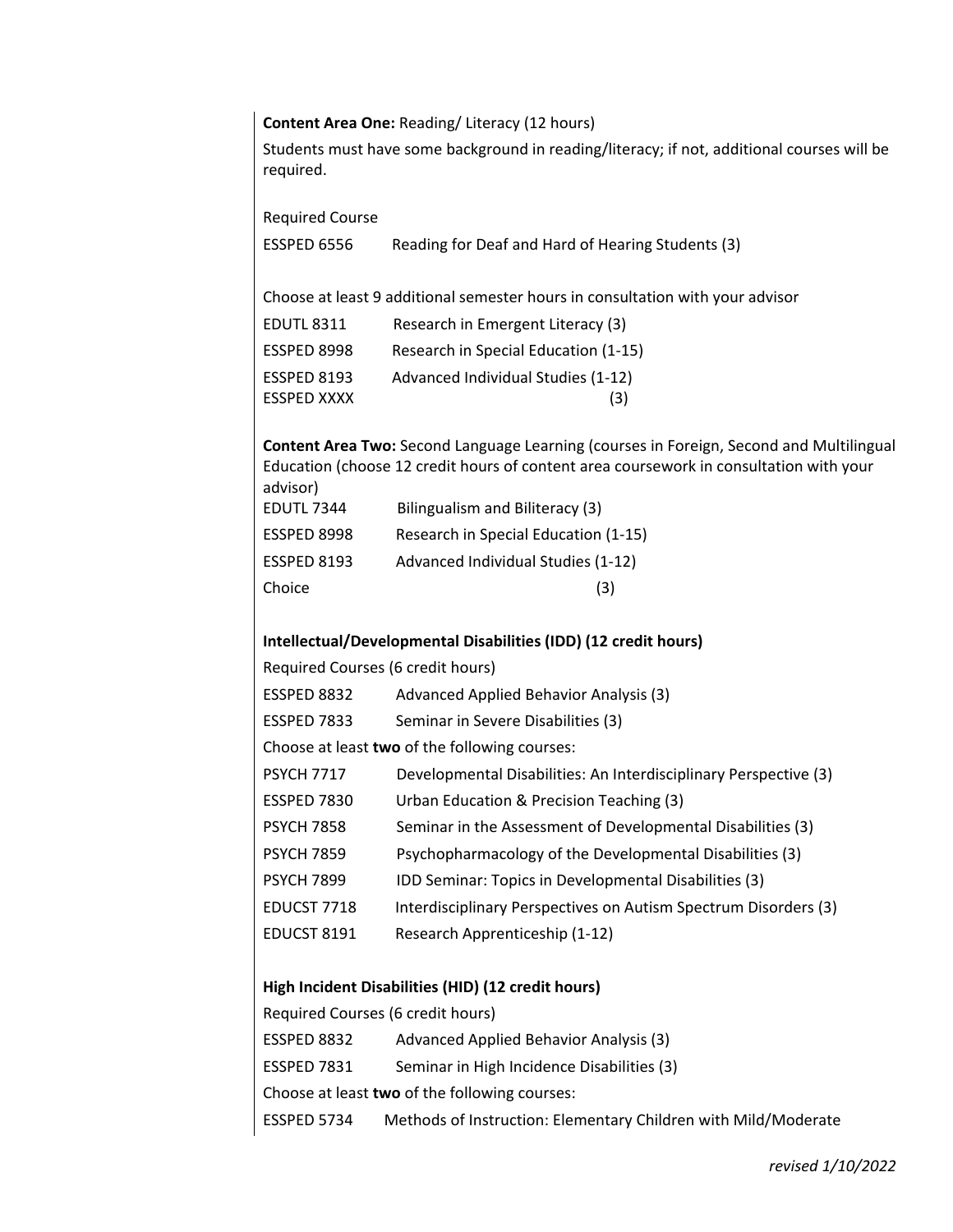#### **Content Area One:** Reading/ Literacy (12 hours)

Students must have some background in reading/literacy; if not, additional courses will be required.

Required Course

| ESSPED 6556 | Reading for Deaf and Hard of Hearing Students (3) |
|-------------|---------------------------------------------------|
|-------------|---------------------------------------------------|

Choose at least 9 additional semester hours in consultation with your advisor

| <b>EDUTL 8311</b>  | Research in Emergent Literacy (3)    |
|--------------------|--------------------------------------|
| ESSPED 8998        | Research in Special Education (1-15) |
| <b>ESSPED 8193</b> | Advanced Individual Studies (1-12)   |
| <b>ESSPED XXXX</b> | (3)                                  |

**Content Area Two:** Second Language Learning (courses in Foreign, Second and Multilingual Education (choose 12 credit hours of content area coursework in consultation with your advisor)

| <b>EDUTL 7344</b> | Bilingualism and Biliteracy (3)      |
|-------------------|--------------------------------------|
| ESSPED 8998       | Research in Special Education (1-15) |
| ESSPED 8193       | Advanced Individual Studies (1-12)   |
| Choice            | (3)                                  |

#### **Intellectual/Developmental Disabilities (IDD) (12 credit hours)**

Required Courses (6 credit hours)

| ESSPED 8832 | Advanced Applied Behavior Analysis (3) |  |
|-------------|----------------------------------------|--|
|-------------|----------------------------------------|--|

ESSPED 7833 Seminar in Severe Disabilities (3)

Choose at least **two** of the following courses:

| Developmental Disabilities: An Interdisciplinary Perspective (3)<br>PSYCH 7717 |  |  |  |
|--------------------------------------------------------------------------------|--|--|--|
|--------------------------------------------------------------------------------|--|--|--|

- ESSPED 7830 Urban Education & Precision Teaching (3)
- PSYCH 7858 Seminar in the Assessment of Developmental Disabilities (3)
- PSYCH 7859 Psychopharmacology of the Developmental Disabilities (3)
- PSYCH 7899 IDD Seminar: Topics in Developmental Disabilities (3)
- EDUCST 7718 Interdisciplinary Perspectives on Autism Spectrum Disorders (3)
- EDUCST 8191 Research Apprenticeship (1-12)

#### **High Incident Disabilities (HID) (12 credit hours)**

Required Courses (6 credit hours) ESSPED 8832 Advanced Applied Behavior Analysis (3) ESSPED 7831 Seminar in High Incidence Disabilities (3) Choose at least **two** of the following courses: ESSPED 5734 Methods of Instruction: Elementary Children with Mild/Moderate